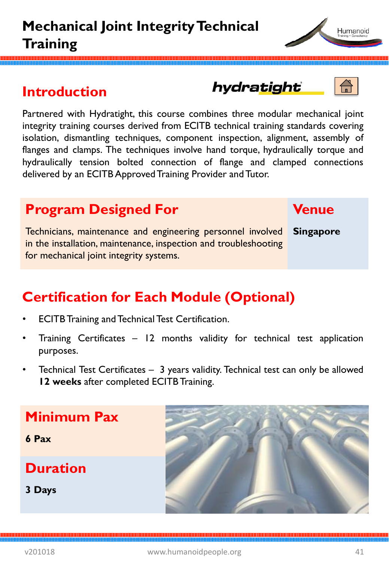### **Introduction**

Partnered with Hydratight, this course combines three modular mechanical joint integrity training courses derived from ECITB technical training standards covering isolation, dismantling techniques, component inspection, alignment, assembly of flanges and clamps. The techniques involve hand torque, hydraulically torque and hydraulically tension bolted connection of flange and clamped connections delivered by an ECITB Approved Training Provider and Tutor.

### **Program Designed For**

Technicians, maintenance and engineering personnel involved in the installation, maintenance, inspection and troubleshooting for mechanical joint integrity systems.

# **Certification for Each Module (Optional)**

- **ECITB Training and Technical Test Certification.**
- Training Certificates 12 months validity for technical test application purposes.
- Technical Test Certificates 3 years validity. Technical test can only be allowed **12 weeks** after completed ECITB Training.

# **Minimum Pax**

**6 Pax**

**Duration**

**3 Days**







Humanoid



**Singapore**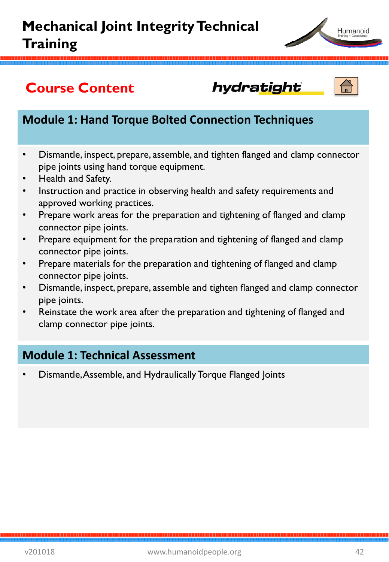

## **Course Content**

hydratight



#### **Module 1: Hand Torque Bolted Connection Techniques**

- Dismantle, inspect, prepare, assemble, and tighten flanged and clamp connector pipe joints using hand torque equipment.
- Health and Safety.
- Instruction and practice in observing health and safety requirements and approved working practices.
- Prepare work areas for the preparation and tightening of flanged and clamp connector pipe joints.
- Prepare equipment for the preparation and tightening of flanged and clamp connector pipe joints.
- Prepare materials for the preparation and tightening of flanged and clamp connector pipe joints.
- Dismantle, inspect, prepare, assemble and tighten flanged and clamp connector pipe joints.
- Reinstate the work area after the preparation and tightening of flanged and clamp connector pipe joints.

#### **Module 1: Technical Assessment**

• Dismantle, Assemble, and Hydraulically Torque Flanged Joints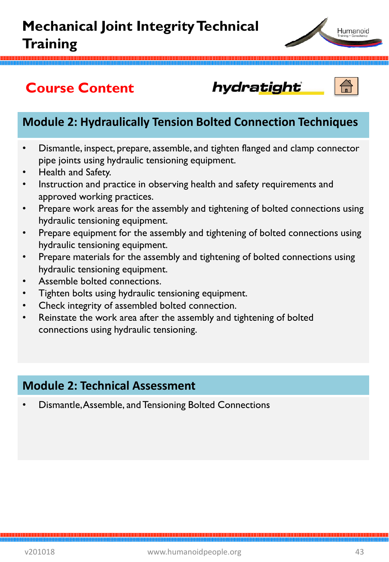

## **Course Content**

#### **Module 2: Hydraulically Tension Bolted Connection Techniques**

hydratight

- Dismantle, inspect, prepare, assemble, and tighten flanged and clamp connector pipe joints using hydraulic tensioning equipment.
- Health and Safety.
- Instruction and practice in observing health and safety requirements and approved working practices.
- Prepare work areas for the assembly and tightening of bolted connections using hydraulic tensioning equipment.
- Prepare equipment for the assembly and tightening of bolted connections using hydraulic tensioning equipment.
- Prepare materials for the assembly and tightening of bolted connections using hydraulic tensioning equipment.
- Assemble bolted connections.
- Tighten bolts using hydraulic tensioning equipment.
- Check integrity of assembled bolted connection.
- Reinstate the work area after the assembly and tightening of bolted connections using hydraulic tensioning.

#### **Module 2: Technical Assessment**

• Dismantle, Assemble, and Tensioning Bolted Connections